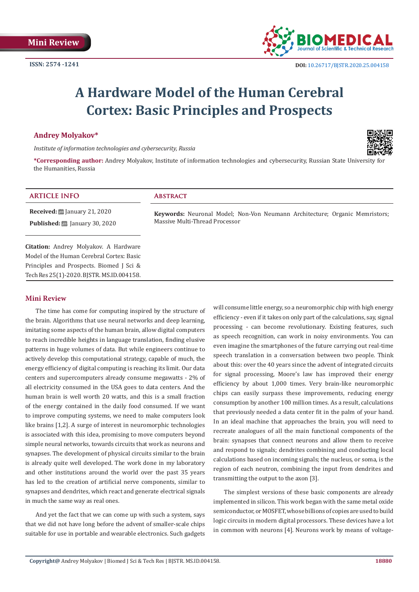

# **A Hardware Model of the Human Cerebral Cortex: Basic Principles and Prospects**

## **Andrey Molyakov\***

*Institute of information technologies and cybersecurity, Russia* 



**\*Corresponding author:** Andrey Molyakov, Institute of information technologies and cybersecurity, Russian State University for the Humanities, Russia

| <b>ARTICLE INFO</b>                                                                               | <b>ABSTRACT</b>                                                                                               |
|---------------------------------------------------------------------------------------------------|---------------------------------------------------------------------------------------------------------------|
| <b>Received:</b> $\mathbf{B}$ January 21, 2020<br><b>Published:</b> $\ddot{\Xi}$ January 30, 2020 | Keywords: Neuronal Model; Non-Von Neumann Architecture; Organic Memristors;<br>Massive Multi-Thread Processor |
| <b>Citation:</b> Andrey Molyakov. A Hardware                                                      |                                                                                                               |
| Model of the Human Cerebral Cortex: Basic<br>Principles and Prospects. Biomed J Sci &             |                                                                                                               |
| Tech Res 25(1)-2020. BJSTR. MS.ID.004158.                                                         |                                                                                                               |

## **Mini Review**

The time has come for computing inspired by the structure of the brain. Algorithms that use neural networks and deep learning, imitating some aspects of the human brain, allow digital computers to reach incredible heights in language translation, finding elusive patterns in huge volumes of data. But while engineers continue to actively develop this computational strategy, capable of much, the energy efficiency of digital computing is reaching its limit. Our data centers and supercomputers already consume megawatts - 2% of all electricity consumed in the USA goes to data centers. And the human brain is well worth 20 watts, and this is a small fraction of the energy contained in the daily food consumed. If we want to improve computing systems, we need to make computers look like brains [1,2]. A surge of interest in neuromorphic technologies is associated with this idea, promising to move computers beyond simple neural networks, towards circuits that work as neurons and synapses. The development of physical circuits similar to the brain is already quite well developed. The work done in my laboratory and other institutions around the world over the past 35 years has led to the creation of artificial nerve components, similar to synapses and dendrites, which react and generate electrical signals in much the same way as real ones.

And yet the fact that we can come up with such a system, says that we did not have long before the advent of smaller-scale chips suitable for use in portable and wearable electronics. Such gadgets

will consume little energy, so a neuromorphic chip with high energy efficiency - even if it takes on only part of the calculations, say, signal processing - can become revolutionary. Existing features, such as speech recognition, can work in noisy environments. You can even imagine the smartphones of the future carrying out real-time speech translation in a conversation between two people. Think about this: over the 40 years since the advent of integrated circuits for signal processing, Moore's law has improved their energy efficiency by about 1,000 times. Very brain-like neuromorphic chips can easily surpass these improvements, reducing energy consumption by another 100 million times. As a result, calculations that previously needed a data center fit in the palm of your hand. In an ideal machine that approaches the brain, you will need to recreate analogues of all the main functional components of the brain: synapses that connect neurons and allow them to receive and respond to signals; dendrites combining and conducting local calculations based on incoming signals; the nucleus, or soma, is the region of each neutron, combining the input from dendrites and transmitting the output to the axon [3].

The simplest versions of these basic components are already implemented in silicon. This work began with the same metal oxide semiconductor, or MOSFET, whose billions of copies are used to build logic circuits in modern digital processors. These devices have a lot in common with neurons [4]. Neurons work by means of voltage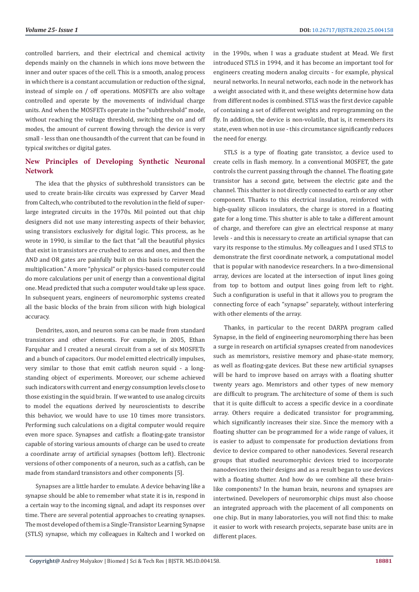controlled barriers, and their electrical and chemical activity depends mainly on the channels in which ions move between the inner and outer spaces of the cell. This is a smooth, analog process in which there is a constant accumulation or reduction of the signal, instead of simple on / off operations. MOSFETs are also voltage controlled and operate by the movements of individual charge units. And when the MOSFETs operate in the "subthreshold" mode, without reaching the voltage threshold, switching the on and off modes, the amount of current flowing through the device is very small - less than one thousandth of the current that can be found in typical switches or digital gates.

# **New Principles of Developing Synthetic Neuronal Network**

The idea that the physics of subthreshold transistors can be used to create brain-like circuits was expressed by Carver Mead from Caltech, who contributed to the revolution in the field of superlarge integrated circuits in the 1970s. Mil pointed out that chip designers did not use many interesting aspects of their behavior, using transistors exclusively for digital logic. This process, as he wrote in 1990, is similar to the fact that "all the beautiful physics that exist in transistors are crushed to zeros and ones, and then the AND and OR gates are painfully built on this basis to reinvent the multiplication." A more "physical" or physics-based computer could do more calculations per unit of energy than a conventional digital one. Mead predicted that such a computer would take up less space. In subsequent years, engineers of neuromorphic systems created all the basic blocks of the brain from silicon with high biological accuracy.

Dendrites, axon, and neuron soma can be made from standard transistors and other elements. For example, in 2005, Ethan Farquhar and I created a neural circuit from a set of six MOSFETs and a bunch of capacitors. Our model emitted electrically impulses, very similar to those that emit catfish neuron squid - a longstanding object of experiments. Moreover, our scheme achieved such indicators with current and energy consumption levels close to those existing in the squid brain. If we wanted to use analog circuits to model the equations derived by neuroscientists to describe this behavior, we would have to use 10 times more transistors. Performing such calculations on a digital computer would require even more space. Synapses and catfish: a floating-gate transistor capable of storing various amounts of charge can be used to create a coordinate array of artificial synapses (bottom left). Electronic versions of other components of a neuron, such as a catfish, can be made from standard transistors and other components [5].

Synapses are a little harder to emulate. A device behaving like a synapse should be able to remember what state it is in, respond in a certain way to the incoming signal, and adapt its responses over time. There are several potential approaches to creating synapses. The most developed of them is a Single-Transistor Learning Synapse (STLS) synapse, which my colleagues in Kaltech and I worked on

in the 1990s, when I was a graduate student at Mead. We first introduced STLS in 1994, and it has become an important tool for engineers creating modern analog circuits - for example, physical neural networks. In neural networks, each node in the network has a weight associated with it, and these weights determine how data from different nodes is combined. STLS was the first device capable of containing a set of different weights and reprogramming on the fly. In addition, the device is non-volatile, that is, it remembers its state, even when not in use - this circumstance significantly reduces the need for energy.

STLS is a type of floating gate transistor, a device used to create cells in flash memory. In a conventional MOSFET, the gate controls the current passing through the channel. The floating gate transistor has a second gate, between the electric gate and the channel. This shutter is not directly connected to earth or any other component. Thanks to this electrical insulation, reinforced with high-quality silicon insulators, the charge is stored in a floating gate for a long time. This shutter is able to take a different amount of charge, and therefore can give an electrical response at many levels - and this is necessary to create an artificial synapse that can vary its response to the stimulus. My colleagues and I used STLS to demonstrate the first coordinate network, a computational model that is popular with nanodevice researchers. In a two-dimensional array, devices are located at the intersection of input lines going from top to bottom and output lines going from left to right. Such a configuration is useful in that it allows you to program the connecting force of each "synapse" separately, without interfering with other elements of the array.

Thanks, in particular to the recent DARPA program called Synapse, in the field of engineering neuromorphing there has been a surge in research on artificial synapses created from nanodevices such as memristors, resistive memory and phase-state memory, as well as floating-gate devices. But these new artificial synapses will be hard to improve based on arrays with a floating shutter twenty years ago. Memristors and other types of new memory are difficult to program. The architecture of some of them is such that it is quite difficult to access a specific device in a coordinate array. Others require a dedicated transistor for programming, which significantly increases their size. Since the memory with a floating shutter can be programmed for a wide range of values, it is easier to adjust to compensate for production deviations from device to device compared to other nanodevices. Several research groups that studied neuromorphic devices tried to incorporate nanodevices into their designs and as a result began to use devices with a floating shutter. And how do we combine all these brainlike components? In the human brain, neurons and synapses are intertwined. Developers of neuromorphic chips must also choose an integrated approach with the placement of all components on one chip. But in many laboratories, you will not find this: to make it easier to work with research projects, separate base units are in different places.